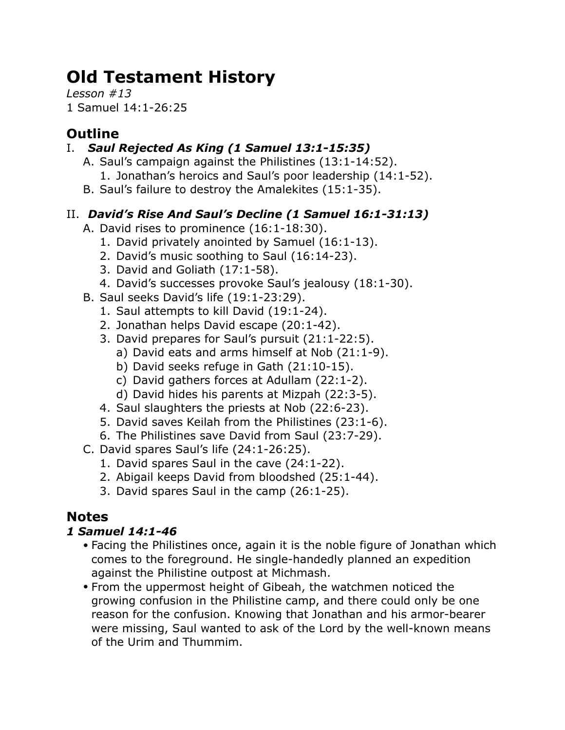# **Old Testament History**

*Lesson #13* 1 Samuel 14:1-26:25

# **Outline**

## I. *Saul Rejected As King (1 Samuel 13:1-15:35)*

- A. Saul's campaign against the Philistines (13:1-14:52).
	- 1. Jonathan's heroics and Saul's poor leadership (14:1-52).
- B. Saul's failure to destroy the Amalekites (15:1-35).

## II. *David's Rise And Saul's Decline (1 Samuel 16:1-31:13)*

- A. David rises to prominence (16:1-18:30).
	- 1. David privately anointed by Samuel (16:1-13).
	- 2. David's music soothing to Saul (16:14-23).
	- 3. David and Goliath (17:1-58).
	- 4. David's successes provoke Saul's jealousy (18:1-30).
- B. Saul seeks David's life (19:1-23:29).
	- 1. Saul attempts to kill David (19:1-24).
	- 2. Jonathan helps David escape (20:1-42).
	- 3. David prepares for Saul's pursuit (21:1-22:5).
		- a) David eats and arms himself at Nob (21:1-9).
		- b) David seeks refuge in Gath (21:10-15).
		- c) David gathers forces at Adullam (22:1-2).
		- d) David hides his parents at Mizpah (22:3-5).
	- 4. Saul slaughters the priests at Nob (22:6-23).
	- 5. David saves Keilah from the Philistines (23:1-6).
	- 6. The Philistines save David from Saul (23:7-29).
- C. David spares Saul's life (24:1-26:25).
	- 1. David spares Saul in the cave (24:1-22).
	- 2. Abigail keeps David from bloodshed (25:1-44).
	- 3. David spares Saul in the camp (26:1-25).

# **Notes**

## *1 Samuel 14:1-46*

- Facing the Philistines once, again it is the noble figure of Jonathan which comes to the foreground. He single-handedly planned an expedition against the Philistine outpost at Michmash.
- From the uppermost height of Gibeah, the watchmen noticed the growing confusion in the Philistine camp, and there could only be one reason for the confusion. Knowing that Jonathan and his armor-bearer were missing, Saul wanted to ask of the Lord by the well-known means of the Urim and Thummim.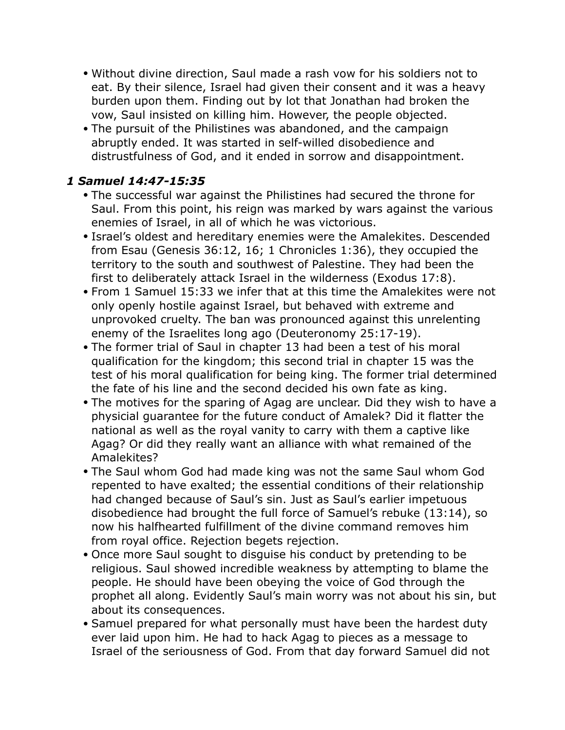- Without divine direction, Saul made a rash vow for his soldiers not to eat. By their silence, Israel had given their consent and it was a heavy burden upon them. Finding out by lot that Jonathan had broken the vow, Saul insisted on killing him. However, the people objected.
- The pursuit of the Philistines was abandoned, and the campaign abruptly ended. It was started in self-willed disobedience and distrustfulness of God, and it ended in sorrow and disappointment.

#### *1 Samuel 14:47-15:35*

- The successful war against the Philistines had secured the throne for Saul. From this point, his reign was marked by wars against the various enemies of Israel, in all of which he was victorious.
- Israel's oldest and hereditary enemies were the Amalekites. Descended from Esau (Genesis 36:12, 16; 1 Chronicles 1:36), they occupied the territory to the south and southwest of Palestine. They had been the first to deliberately attack Israel in the wilderness (Exodus 17:8).
- From 1 Samuel 15:33 we infer that at this time the Amalekites were not only openly hostile against Israel, but behaved with extreme and unprovoked cruelty. The ban was pronounced against this unrelenting enemy of the Israelites long ago (Deuteronomy 25:17-19).
- The former trial of Saul in chapter 13 had been a test of his moral qualification for the kingdom; this second trial in chapter 15 was the test of his moral qualification for being king. The former trial determined the fate of his line and the second decided his own fate as king.
- The motives for the sparing of Agag are unclear. Did they wish to have a physicial guarantee for the future conduct of Amalek? Did it flatter the national as well as the royal vanity to carry with them a captive like Agag? Or did they really want an alliance with what remained of the Amalekites?
- The Saul whom God had made king was not the same Saul whom God repented to have exalted; the essential conditions of their relationship had changed because of Saul's sin. Just as Saul's earlier impetuous disobedience had brought the full force of Samuel's rebuke (13:14), so now his halfhearted fulfillment of the divine command removes him from royal office. Rejection begets rejection.
- Once more Saul sought to disguise his conduct by pretending to be religious. Saul showed incredible weakness by attempting to blame the people. He should have been obeying the voice of God through the prophet all along. Evidently Saul's main worry was not about his sin, but about its consequences.
- Samuel prepared for what personally must have been the hardest duty ever laid upon him. He had to hack Agag to pieces as a message to Israel of the seriousness of God. From that day forward Samuel did not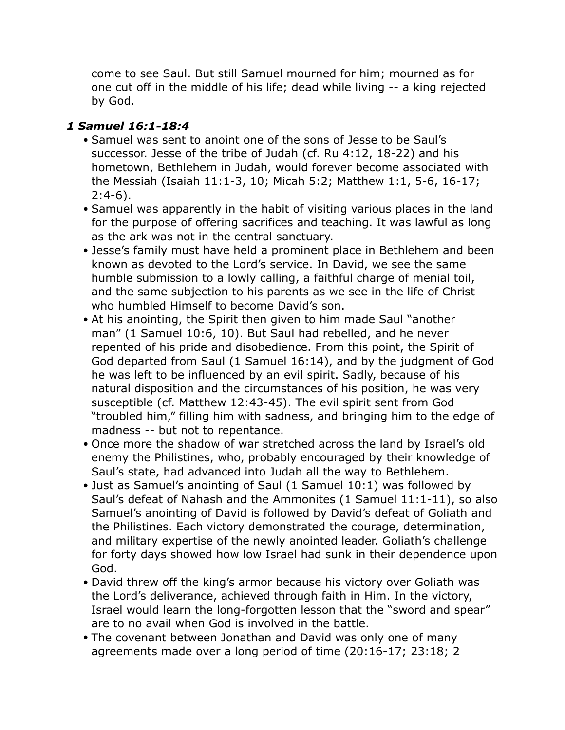come to see Saul. But still Samuel mourned for him; mourned as for one cut off in the middle of his life; dead while living -- a king rejected by God.

#### *1 Samuel 16:1-18:4*

- Samuel was sent to anoint one of the sons of Jesse to be Saul's successor. Jesse of the tribe of Judah (cf. Ru 4:12, 18-22) and his hometown, Bethlehem in Judah, would forever become associated with the Messiah (Isaiah 11:1-3, 10; Micah 5:2; Matthew 1:1, 5-6, 16-17; 2:4-6).
- Samuel was apparently in the habit of visiting various places in the land for the purpose of offering sacrifices and teaching. It was lawful as long as the ark was not in the central sanctuary.
- Jesse's family must have held a prominent place in Bethlehem and been known as devoted to the Lord's service. In David, we see the same humble submission to a lowly calling, a faithful charge of menial toil, and the same subjection to his parents as we see in the life of Christ who humbled Himself to become David's son.
- At his anointing, the Spirit then given to him made Saul "another man" (1 Samuel 10:6, 10). But Saul had rebelled, and he never repented of his pride and disobedience. From this point, the Spirit of God departed from Saul (1 Samuel 16:14), and by the judgment of God he was left to be influenced by an evil spirit. Sadly, because of his natural disposition and the circumstances of his position, he was very susceptible (cf. Matthew 12:43-45). The evil spirit sent from God "troubled him," filling him with sadness, and bringing him to the edge of madness -- but not to repentance.
- Once more the shadow of war stretched across the land by Israel's old enemy the Philistines, who, probably encouraged by their knowledge of Saul's state, had advanced into Judah all the way to Bethlehem.
- Just as Samuel's anointing of Saul (1 Samuel 10:1) was followed by Saul's defeat of Nahash and the Ammonites (1 Samuel 11:1-11), so also Samuel's anointing of David is followed by David's defeat of Goliath and the Philistines. Each victory demonstrated the courage, determination, and military expertise of the newly anointed leader. Goliath's challenge for forty days showed how low Israel had sunk in their dependence upon God.
- David threw off the king's armor because his victory over Goliath was the Lord's deliverance, achieved through faith in Him. In the victory, Israel would learn the long-forgotten lesson that the "sword and spear" are to no avail when God is involved in the battle.
- The covenant between Jonathan and David was only one of many agreements made over a long period of time (20:16-17; 23:18; 2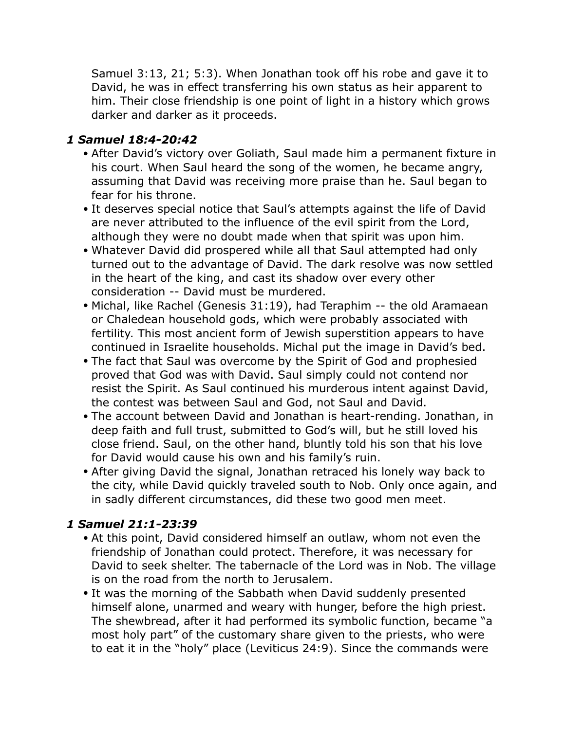Samuel 3:13, 21; 5:3). When Jonathan took off his robe and gave it to David, he was in effect transferring his own status as heir apparent to him. Their close friendship is one point of light in a history which grows darker and darker as it proceeds.

#### *1 Samuel 18:4-20:42*

- After David's victory over Goliath, Saul made him a permanent fixture in his court. When Saul heard the song of the women, he became angry, assuming that David was receiving more praise than he. Saul began to fear for his throne.
- It deserves special notice that Saul's attempts against the life of David are never attributed to the influence of the evil spirit from the Lord, although they were no doubt made when that spirit was upon him.
- Whatever David did prospered while all that Saul attempted had only turned out to the advantage of David. The dark resolve was now settled in the heart of the king, and cast its shadow over every other consideration -- David must be murdered.
- Michal, like Rachel (Genesis 31:19), had Teraphim -- the old Aramaean or Chaledean household gods, which were probably associated with fertility. This most ancient form of Jewish superstition appears to have continued in Israelite households. Michal put the image in David's bed.
- The fact that Saul was overcome by the Spirit of God and prophesied proved that God was with David. Saul simply could not contend nor resist the Spirit. As Saul continued his murderous intent against David, the contest was between Saul and God, not Saul and David.
- The account between David and Jonathan is heart-rending. Jonathan, in deep faith and full trust, submitted to God's will, but he still loved his close friend. Saul, on the other hand, bluntly told his son that his love for David would cause his own and his family's ruin.
- After giving David the signal, Jonathan retraced his lonely way back to the city, while David quickly traveled south to Nob. Only once again, and in sadly different circumstances, did these two good men meet.

#### *1 Samuel 21:1-23:39*

- At this point, David considered himself an outlaw, whom not even the friendship of Jonathan could protect. Therefore, it was necessary for David to seek shelter. The tabernacle of the Lord was in Nob. The village is on the road from the north to Jerusalem.
- It was the morning of the Sabbath when David suddenly presented himself alone, unarmed and weary with hunger, before the high priest. The shewbread, after it had performed its symbolic function, became "a most holy part" of the customary share given to the priests, who were to eat it in the "holy" place (Leviticus 24:9). Since the commands were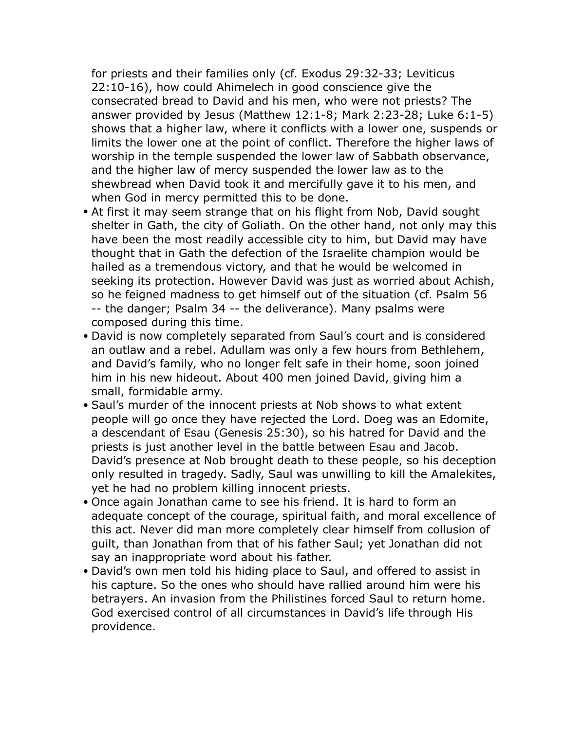for priests and their families only (cf. Exodus 29:32-33; Leviticus 22:10-16), how could Ahimelech in good conscience give the consecrated bread to David and his men, who were not priests? The answer provided by Jesus (Matthew 12:1-8; Mark 2:23-28; Luke 6:1-5) shows that a higher law, where it conflicts with a lower one, suspends or limits the lower one at the point of conflict. Therefore the higher laws of worship in the temple suspended the lower law of Sabbath observance, and the higher law of mercy suspended the lower law as to the shewbread when David took it and mercifully gave it to his men, and when God in mercy permitted this to be done.

- At first it may seem strange that on his flight from Nob, David sought shelter in Gath, the city of Goliath. On the other hand, not only may this have been the most readily accessible city to him, but David may have thought that in Gath the defection of the Israelite champion would be hailed as a tremendous victory, and that he would be welcomed in seeking its protection. However David was just as worried about Achish, so he feigned madness to get himself out of the situation (cf. Psalm 56 -- the danger; Psalm 34 -- the deliverance). Many psalms were composed during this time.
- David is now completely separated from Saul's court and is considered an outlaw and a rebel. Adullam was only a few hours from Bethlehem, and David's family, who no longer felt safe in their home, soon joined him in his new hideout. About 400 men joined David, giving him a small, formidable army.
- Saul's murder of the innocent priests at Nob shows to what extent people will go once they have rejected the Lord. Doeg was an Edomite, a descendant of Esau (Genesis 25:30), so his hatred for David and the priests is just another level in the battle between Esau and Jacob. David's presence at Nob brought death to these people, so his deception only resulted in tragedy. Sadly, Saul was unwilling to kill the Amalekites, yet he had no problem killing innocent priests.
- Once again Jonathan came to see his friend. It is hard to form an adequate concept of the courage, spiritual faith, and moral excellence of this act. Never did man more completely clear himself from collusion of guilt, than Jonathan from that of his father Saul; yet Jonathan did not say an inappropriate word about his father.
- David's own men told his hiding place to Saul, and offered to assist in his capture. So the ones who should have rallied around him were his betrayers. An invasion from the Philistines forced Saul to return home. God exercised control of all circumstances in David's life through His providence.